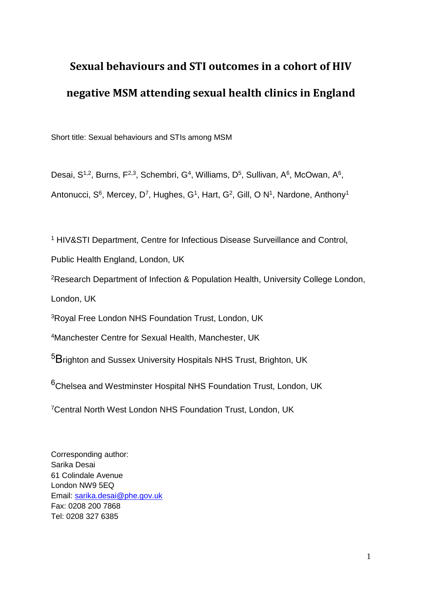# **Sexual behaviours and STI outcomes in a cohort of HIV negative MSM attending sexual health clinics in England**

Short title: Sexual behaviours and STIs among MSM

Desai, S<sup>1,2</sup>, Burns, F<sup>2,3</sup>, Schembri, G<sup>4</sup>, Williams, D<sup>5</sup>, Sullivan, A<sup>6</sup>, McOwan, A<sup>6</sup>,

Antonucci, S<sup>6</sup>, Mercey, D<sup>7</sup>, Hughes, G<sup>1</sup>, Hart, G<sup>2</sup>, Gill, O N<sup>1</sup>, Nardone, Anthony<sup>1</sup>

<sup>1</sup> HIV&STI Department, Centre for Infectious Disease Surveillance and Control,

Public Health England, London, UK

<sup>2</sup>Research Department of Infection & Population Health, University College London,

London, UK

<sup>3</sup>Royal Free London NHS Foundation Trust, London, UK

<sup>4</sup>Manchester Centre for Sexual Health, Manchester, UK

<sup>5</sup>Brighton and Sussex University Hospitals NHS Trust, Brighton, UK

 $6$ Chelsea and Westminster Hospital NHS Foundation Trust, London, UK

<sup>7</sup>Central North West London NHS Foundation Trust, London, UK

Corresponding author: Sarika Desai 61 Colindale Avenue London NW9 5EQ Email: [sarika.desai@phe.gov.uk](mailto:sarika.desai@phe.gov.uk) Fax: 0208 200 7868 Tel: 0208 327 6385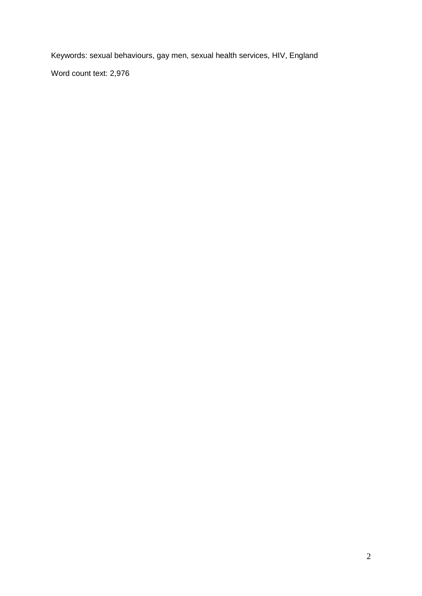Keywords: sexual behaviours, gay men, sexual health services, HIV, England Word count text: 2,976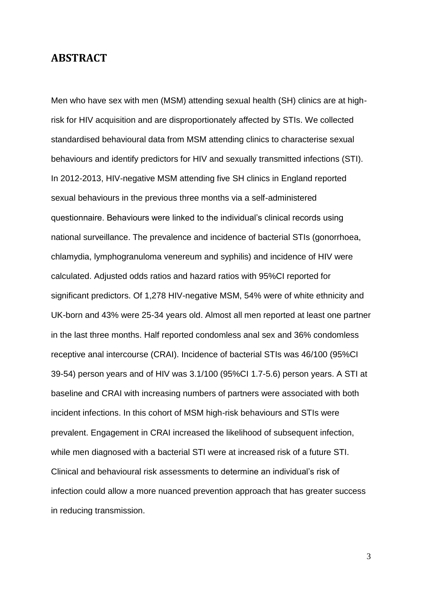## **ABSTRACT**

Men who have sex with men (MSM) attending sexual health (SH) clinics are at highrisk for HIV acquisition and are disproportionately affected by STIs. We collected standardised behavioural data from MSM attending clinics to characterise sexual behaviours and identify predictors for HIV and sexually transmitted infections (STI). In 2012-2013, HIV-negative MSM attending five SH clinics in England reported sexual behaviours in the previous three months via a self-administered questionnaire. Behaviours were linked to the individual's clinical records using national surveillance. The prevalence and incidence of bacterial STIs (gonorrhoea, chlamydia, lymphogranuloma venereum and syphilis) and incidence of HIV were calculated. Adjusted odds ratios and hazard ratios with 95%CI reported for significant predictors. Of 1,278 HIV-negative MSM, 54% were of white ethnicity and UK-born and 43% were 25-34 years old. Almost all men reported at least one partner in the last three months. Half reported condomless anal sex and 36% condomless receptive anal intercourse (CRAI). Incidence of bacterial STIs was 46/100 (95%CI 39-54) person years and of HIV was 3.1/100 (95%CI 1.7-5.6) person years. A STI at baseline and CRAI with increasing numbers of partners were associated with both incident infections. In this cohort of MSM high-risk behaviours and STIs were prevalent. Engagement in CRAI increased the likelihood of subsequent infection, while men diagnosed with a bacterial STI were at increased risk of a future STI. Clinical and behavioural risk assessments to determine an individual's risk of infection could allow a more nuanced prevention approach that has greater success in reducing transmission.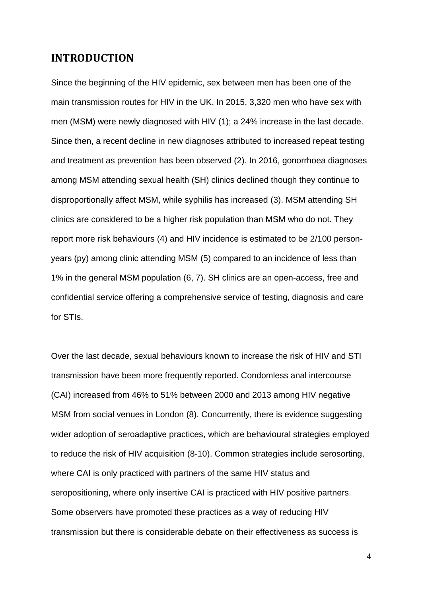# **INTRODUCTION**

Since the beginning of the HIV epidemic, sex between men has been one of the main transmission routes for HIV in the UK. In 2015, 3,320 men who have sex with men (MSM) were newly diagnosed with HIV (1); a 24% increase in the last decade. Since then, a recent decline in new diagnoses attributed to increased repeat testing and treatment as prevention has been observed (2). In 2016, gonorrhoea diagnoses among MSM attending sexual health (SH) clinics declined though they continue to disproportionally affect MSM, while syphilis has increased (3). MSM attending SH clinics are considered to be a higher risk population than MSM who do not. They report more risk behaviours (4) and HIV incidence is estimated to be 2/100 personyears (py) among clinic attending MSM (5) compared to an incidence of less than 1% in the general MSM population (6, 7). SH clinics are an open-access, free and confidential service offering a comprehensive service of testing, diagnosis and care for STIs.

Over the last decade, sexual behaviours known to increase the risk of HIV and STI transmission have been more frequently reported. Condomless anal intercourse (CAI) increased from 46% to 51% between 2000 and 2013 among HIV negative MSM from social venues in London (8). Concurrently, there is evidence suggesting wider adoption of seroadaptive practices, which are behavioural strategies employed to reduce the risk of HIV acquisition (8-10). Common strategies include serosorting, where CAI is only practiced with partners of the same HIV status and seropositioning, where only insertive CAI is practiced with HIV positive partners. Some observers have promoted these practices as a way of reducing HIV transmission but there is considerable debate on their effectiveness as success is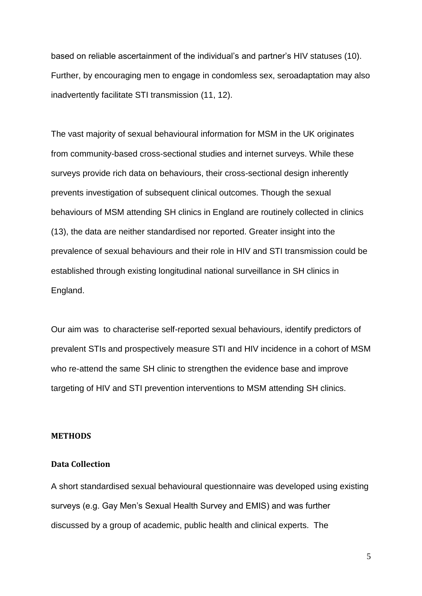based on reliable ascertainment of the individual's and partner's HIV statuses (10). Further, by encouraging men to engage in condomless sex, seroadaptation may also inadvertently facilitate STI transmission (11, 12).

The vast majority of sexual behavioural information for MSM in the UK originates from community-based cross-sectional studies and internet surveys. While these surveys provide rich data on behaviours, their cross-sectional design inherently prevents investigation of subsequent clinical outcomes. Though the sexual behaviours of MSM attending SH clinics in England are routinely collected in clinics (13), the data are neither standardised nor reported. Greater insight into the prevalence of sexual behaviours and their role in HIV and STI transmission could be established through existing longitudinal national surveillance in SH clinics in England.

Our aim was to characterise self-reported sexual behaviours, identify predictors of prevalent STIs and prospectively measure STI and HIV incidence in a cohort of MSM who re-attend the same SH clinic to strengthen the evidence base and improve targeting of HIV and STI prevention interventions to MSM attending SH clinics.

#### **METHODS**

## **Data Collection**

A short standardised sexual behavioural questionnaire was developed using existing surveys (e.g. Gay Men's Sexual Health Survey and EMIS) and was further discussed by a group of academic, public health and clinical experts. The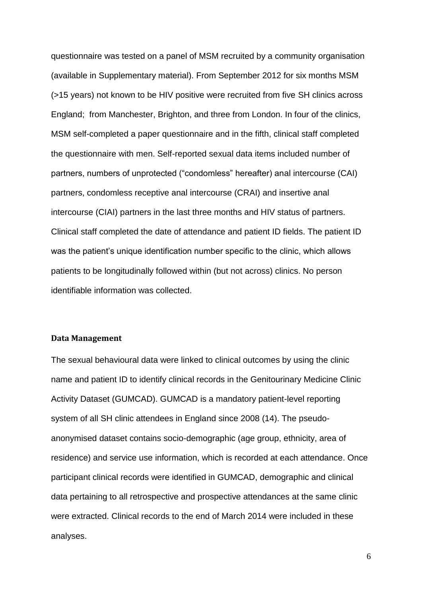questionnaire was tested on a panel of MSM recruited by a community organisation (available in Supplementary material). From September 2012 for six months MSM (>15 years) not known to be HIV positive were recruited from five SH clinics across England; from Manchester, Brighton, and three from London. In four of the clinics, MSM self-completed a paper questionnaire and in the fifth, clinical staff completed the questionnaire with men. Self-reported sexual data items included number of partners, numbers of unprotected ("condomless" hereafter) anal intercourse (CAI) partners, condomless receptive anal intercourse (CRAI) and insertive anal intercourse (CIAI) partners in the last three months and HIV status of partners. Clinical staff completed the date of attendance and patient ID fields. The patient ID was the patient's unique identification number specific to the clinic, which allows patients to be longitudinally followed within (but not across) clinics. No person identifiable information was collected.

## **Data Management**

The sexual behavioural data were linked to clinical outcomes by using the clinic name and patient ID to identify clinical records in the Genitourinary Medicine Clinic Activity Dataset (GUMCAD). GUMCAD is a mandatory patient-level reporting system of all SH clinic attendees in England since 2008 (14). The pseudoanonymised dataset contains socio-demographic (age group, ethnicity, area of residence) and service use information, which is recorded at each attendance. Once participant clinical records were identified in GUMCAD, demographic and clinical data pertaining to all retrospective and prospective attendances at the same clinic were extracted. Clinical records to the end of March 2014 were included in these analyses.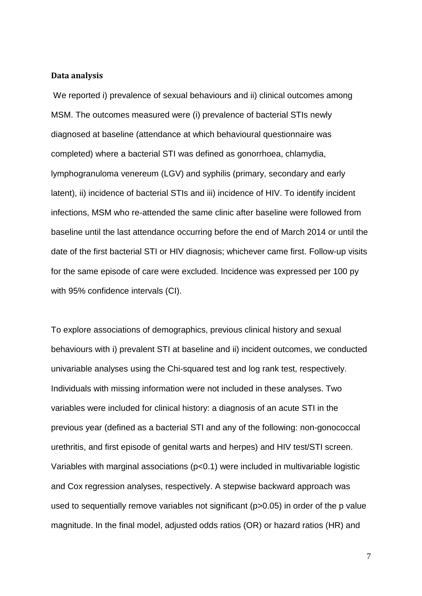#### **Data analysis**

We reported i) prevalence of sexual behaviours and ii) clinical outcomes among MSM. The outcomes measured were (i) prevalence of bacterial STIs newly diagnosed at baseline (attendance at which behavioural questionnaire was completed) where a bacterial STI was defined as gonorrhoea, chlamydia, lymphogranuloma venereum (LGV) and syphilis (primary, secondary and early latent), ii) incidence of bacterial STIs and iii) incidence of HIV. To identify incident infections, MSM who re-attended the same clinic after baseline were followed from baseline until the last attendance occurring before the end of March 2014 or until the date of the first bacterial STI or HIV diagnosis; whichever came first. Follow-up visits for the same episode of care were excluded. Incidence was expressed per 100 py with 95% confidence intervals (CI).

To explore associations of demographics, previous clinical history and sexual behaviours with i) prevalent STI at baseline and ii) incident outcomes, we conducted univariable analyses using the Chi-squared test and log rank test, respectively. Individuals with missing information were not included in these analyses. Two variables were included for clinical history: a diagnosis of an acute STI in the previous year (defined as a bacterial STI and any of the following: non-gonococcal urethritis, and first episode of genital warts and herpes) and HIV test/STI screen. Variables with marginal associations (p<0.1) were included in multivariable logistic and Cox regression analyses, respectively. A stepwise backward approach was used to sequentially remove variables not significant (p>0.05) in order of the p value magnitude. In the final model, adjusted odds ratios (OR) or hazard ratios (HR) and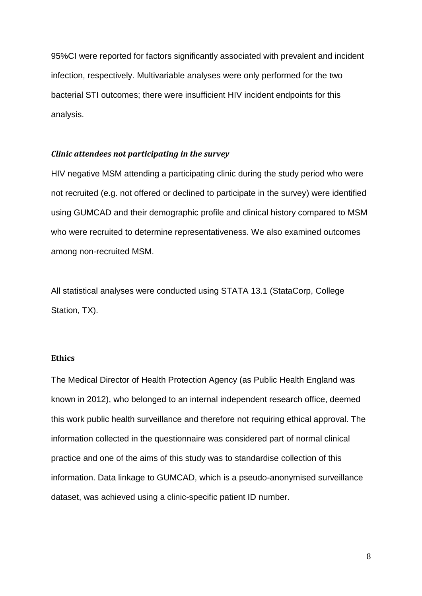95%CI were reported for factors significantly associated with prevalent and incident infection, respectively. Multivariable analyses were only performed for the two bacterial STI outcomes; there were insufficient HIV incident endpoints for this analysis.

#### *Clinic attendees not participating in the survey*

HIV negative MSM attending a participating clinic during the study period who were not recruited (e.g. not offered or declined to participate in the survey) were identified using GUMCAD and their demographic profile and clinical history compared to MSM who were recruited to determine representativeness. We also examined outcomes among non-recruited MSM.

All statistical analyses were conducted using STATA 13.1 (StataCorp, College Station, TX).

#### **Ethics**

The Medical Director of Health Protection Agency (as Public Health England was known in 2012), who belonged to an internal independent research office, deemed this work public health surveillance and therefore not requiring ethical approval. The information collected in the questionnaire was considered part of normal clinical practice and one of the aims of this study was to standardise collection of this information. Data linkage to GUMCAD, which is a pseudo-anonymised surveillance dataset, was achieved using a clinic-specific patient ID number.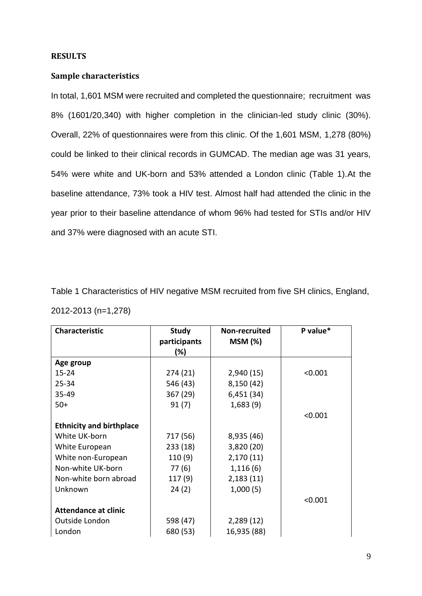#### **RESULTS**

## **Sample characteristics**

In total, 1,601 MSM were recruited and completed the questionnaire; recruitment was 8% (1601/20,340) with higher completion in the clinician-led study clinic (30%). Overall, 22% of questionnaires were from this clinic. Of the 1,601 MSM, 1,278 (80%) could be linked to their clinical records in GUMCAD. The median age was 31 years, 54% were white and UK-born and 53% attended a London clinic (Table 1).At the baseline attendance, 73% took a HIV test. Almost half had attended the clinic in the year prior to their baseline attendance of whom 96% had tested for STIs and/or HIV and 37% were diagnosed with an acute STI.

| Table 1 Characteristics of HIV negative MSM recruited from five SH clinics, England, |  |  |
|--------------------------------------------------------------------------------------|--|--|
| 2012-2013 (n=1,278)                                                                  |  |  |

| <b>Characteristic</b>           | <b>Study</b>        | Non-recruited |         |
|---------------------------------|---------------------|---------------|---------|
|                                 | participants<br>(%) | MSM(%)        |         |
|                                 |                     |               |         |
| Age group                       |                     |               |         |
| $15 - 24$                       | 274 (21)            | 2,940(15)     | < 0.001 |
| $25 - 34$                       | 546 (43)            | 8,150 (42)    |         |
| $35 - 49$                       | 367 (29)            | 6,451 (34)    |         |
| $50+$                           | 91(7)               | 1,683(9)      |         |
|                                 |                     |               | < 0.001 |
| <b>Ethnicity and birthplace</b> |                     |               |         |
| White UK-born                   | 717 (56)            | 8,935 (46)    |         |
| White European                  | 233 (18)            | 3,820 (20)    |         |
| White non-European              | 110 (9)             | 2,170(11)     |         |
| Non-white UK-born               | 77 (6)              | 1,116(6)      |         |
| Non-white born abroad           | 117(9)              | 2,183(11)     |         |
| Unknown                         | 24(2)               | 1,000(5)      |         |
|                                 |                     |               | < 0.001 |
| <b>Attendance at clinic</b>     |                     |               |         |
| Outside London                  | 598 (47)            | 2,289(12)     |         |
| London                          | 680 (53)            | 16,935 (88)   |         |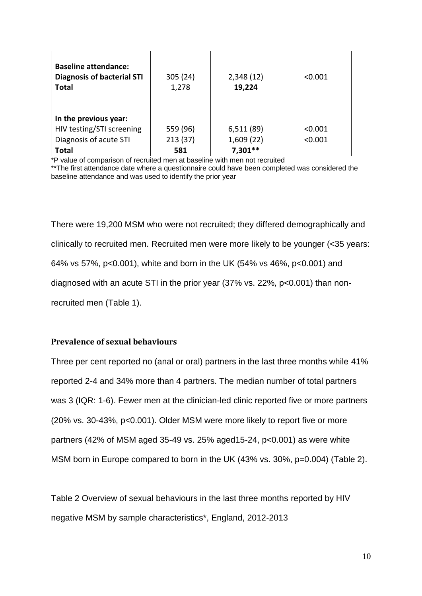| <b>Baseline attendance:</b><br><b>Diagnosis of bacterial STI</b><br><b>Total</b> | 305 (24)<br>1,278 | 2,348(12)<br>19,224 | < 0.001 |
|----------------------------------------------------------------------------------|-------------------|---------------------|---------|
| In the previous year:                                                            |                   |                     |         |
| HIV testing/STI screening                                                        | 559 (96)          | 6,511(89)           | < 0.001 |
| Diagnosis of acute STI                                                           | 213(37)           | 1,609(22)           | < 0.001 |
| <b>Total</b>                                                                     | 581               | $7,301**$           |         |

\*P value of comparison of recruited men at baseline with men not recruited

There were 19,200 MSM who were not recruited; they differed demographically and clinically to recruited men. Recruited men were more likely to be younger (<35 years: 64% vs 57%, p<0.001), white and born in the UK (54% vs 46%, p<0.001) and diagnosed with an acute STI in the prior year (37% vs. 22%, p<0.001) than nonrecruited men (Table 1).

## **Prevalence of sexual behaviours**

Three per cent reported no (anal or oral) partners in the last three months while 41% reported 2-4 and 34% more than 4 partners. The median number of total partners was 3 (IQR: 1-6). Fewer men at the clinician-led clinic reported five or more partners (20% vs. 30-43%, p<0.001). Older MSM were more likely to report five or more partners (42% of MSM aged 35-49 vs. 25% aged15-24, p<0.001) as were white MSM born in Europe compared to born in the UK (43% vs. 30%, p=0.004) (Table 2).

Table 2 Overview of sexual behaviours in the last three months reported by HIV negative MSM by sample characteristics\*, England, 2012-2013

<sup>\*\*</sup>The first attendance date where a questionnaire could have been completed was considered the baseline attendance and was used to identify the prior year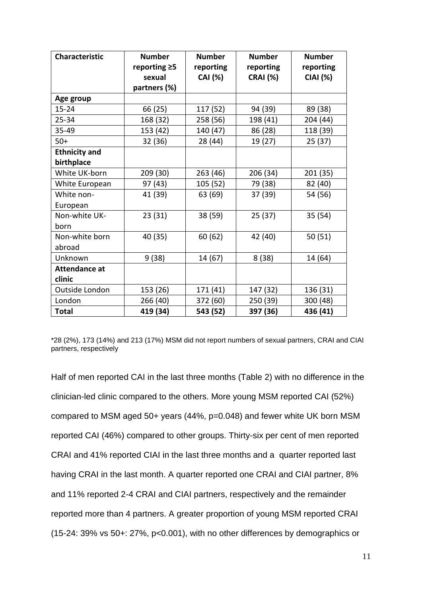| <b>Characteristic</b> | <b>Number</b><br>reporting $\geq 5$ | <b>Number</b><br>reporting | <b>Number</b><br>reporting | <b>Number</b><br>reporting |
|-----------------------|-------------------------------------|----------------------------|----------------------------|----------------------------|
|                       | sexual                              | <b>CAI</b> (%)             | <b>CRAI</b> (%)            | <b>CIAI (%)</b>            |
|                       | partners (%)                        |                            |                            |                            |
| Age group             |                                     |                            |                            |                            |
| $15 - 24$             | 66 (25)                             | 117 (52)                   | 94 (39)                    | 89 (38)                    |
| $25 - 34$             | 168 (32)                            | 258 (56)                   | 198 (41)                   | 204 (44)                   |
| 35-49                 | 153 (42)                            | 140 (47)                   | 86 (28)                    | 118 (39)                   |
| $50+$                 | 32 (36)                             | 28 (44)                    | 19 (27)                    | 25 (37)                    |
| <b>Ethnicity and</b>  |                                     |                            |                            |                            |
| birthplace            |                                     |                            |                            |                            |
| White UK-born         | 209 (30)                            | 263 (46)                   | 206 (34)                   | 201 (35)                   |
| White European        | 97 (43)                             | 105 (52)                   | 79 (38)                    | 82 (40)                    |
| White non-            | 41 (39)                             | 63 (69)                    | 37 (39)                    | 54 (56)                    |
| European              |                                     |                            |                            |                            |
| Non-white UK-         | 23(31)                              | 38 (59)                    | 25 (37)                    | 35 (54)                    |
| born                  |                                     |                            |                            |                            |
| Non-white born        | 40 (35)                             | 60 (62)                    | 42 (40)                    | 50(51)                     |
| abroad                |                                     |                            |                            |                            |
| Unknown               | 9(38)                               | 14 (67)                    | 8(38)                      | 14 (64)                    |
| <b>Attendance at</b>  |                                     |                            |                            |                            |
| clinic                |                                     |                            |                            |                            |
| Outside London        | 153 (26)                            | 171 (41)                   | 147 (32)                   | 136 (31)                   |
| London                | 266 (40)                            | 372 (60)                   | 250 (39)                   | 300 (48)                   |
| <b>Total</b>          | 419 (34)                            | 543 (52)                   | 397 (36)                   | 436 (41)                   |

\*28 (2%), 173 (14%) and 213 (17%) MSM did not report numbers of sexual partners, CRAI and CIAI partners, respectively

Half of men reported CAI in the last three months (Table 2) with no difference in the clinician-led clinic compared to the others. More young MSM reported CAI (52%) compared to MSM aged 50+ years (44%, p=0.048) and fewer white UK born MSM reported CAI (46%) compared to other groups. Thirty-six per cent of men reported CRAI and 41% reported CIAI in the last three months and a quarter reported last having CRAI in the last month. A quarter reported one CRAI and CIAI partner, 8% and 11% reported 2-4 CRAI and CIAI partners, respectively and the remainder reported more than 4 partners. A greater proportion of young MSM reported CRAI (15-24: 39% vs 50+: 27%, p<0.001), with no other differences by demographics or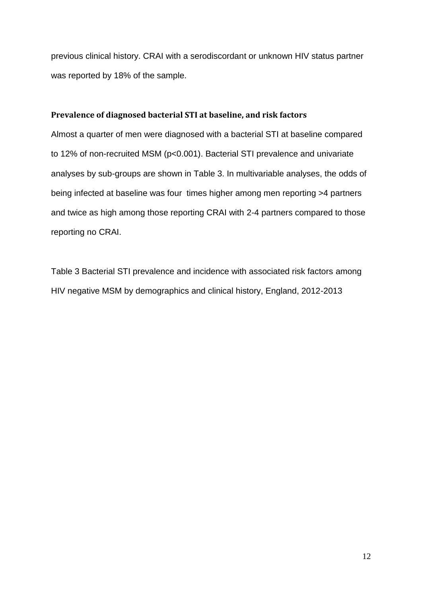previous clinical history. CRAI with a serodiscordant or unknown HIV status partner was reported by 18% of the sample.

## **Prevalence of diagnosed bacterial STI at baseline, and risk factors**

Almost a quarter of men were diagnosed with a bacterial STI at baseline compared to 12% of non-recruited MSM (p<0.001). Bacterial STI prevalence and univariate analyses by sub-groups are shown in Table 3. In multivariable analyses, the odds of being infected at baseline was four times higher among men reporting >4 partners and twice as high among those reporting CRAI with 2-4 partners compared to those reporting no CRAI.

Table 3 Bacterial STI prevalence and incidence with associated risk factors among HIV negative MSM by demographics and clinical history, England, 2012-2013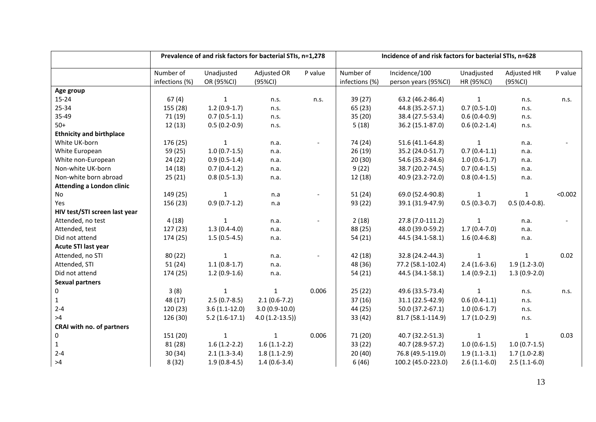|                                  | Prevalence of and risk factors for bacterial STIs, n=1,278 |                 |                 | Incidence of and risk factors for bacterial STIs, n=628 |                |                      |                |                 |         |
|----------------------------------|------------------------------------------------------------|-----------------|-----------------|---------------------------------------------------------|----------------|----------------------|----------------|-----------------|---------|
|                                  | Number of                                                  | Unadjusted      | Adjusted OR     | P value                                                 | Number of      | Incidence/100        | Unadjusted     | Adjusted HR     | P value |
|                                  | infections (%)                                             | OR (95%CI)      | (95%CI)         |                                                         | infections (%) | person years (95%CI) | HR (95%CI)     | (95%CI)         |         |
| Age group                        |                                                            |                 |                 |                                                         |                |                      |                |                 |         |
| 15-24                            | 67(4)                                                      | $\mathbf{1}$    | n.s.            | n.s.                                                    | 39 (27)        | 63.2 (46.2-86.4)     | $\mathbf{1}$   | n.s.            | n.s.    |
| 25-34                            | 155 (28)                                                   | $1.2(0.9-1.7)$  | n.s.            |                                                         | 65 (23)        | 44.8 (35.2-57.1)     | $0.7(0.5-1.0)$ | n.s.            |         |
| 35-49                            | 71 (19)                                                    | $0.7(0.5-1.1)$  | n.s.            |                                                         | 35 (20)        | 38.4 (27.5-53.4)     | $0.6(0.4-0.9)$ | n.s.            |         |
| $50+$                            | 12(13)                                                     | $0.5(0.2-0.9)$  | n.s.            |                                                         | 5(18)          | 36.2 (15.1-87.0)     | $0.6(0.2-1.4)$ | n.s.            |         |
| <b>Ethnicity and birthplace</b>  |                                                            |                 |                 |                                                         |                |                      |                |                 |         |
| White UK-born                    | 176 (25)                                                   | $\mathbf{1}$    | n.a.            |                                                         | 74 (24)        | 51.6 (41.1-64.8)     | $\mathbf{1}$   | n.a.            |         |
| White European                   | 59 (25)                                                    | $1.0(0.7-1.5)$  | n.a.            |                                                         | 26(19)         | 35.2 (24.0-51.7)     | $0.7(0.4-1.1)$ | n.a.            |         |
| White non-European               | 24(22)                                                     | $0.9(0.5-1.4)$  | n.a.            |                                                         | 20(30)         | 54.6 (35.2-84.6)     | $1.0(0.6-1.7)$ | n.a.            |         |
| Non-white UK-born                | 14 (18)                                                    | $0.7(0.4-1.2)$  | n.a.            |                                                         | 9(22)          | 38.7 (20.2-74.5)     | $0.7(0.4-1.5)$ | n.a.            |         |
| Non-white born abroad            | 25(21)                                                     | $0.8(0.5-1.3)$  | n.a.            |                                                         | 12 (18)        | 40.9 (23.2-72.0)     | $0.8(0.4-1.5)$ | n.a.            |         |
| <b>Attending a London clinic</b> |                                                            |                 |                 |                                                         |                |                      |                |                 |         |
| No                               | 149 (25)                                                   | 1               | n.a             |                                                         | 51(24)         | 69.0 (52.4-90.8)     | $\mathbf{1}$   | 1               | < 0.002 |
| Yes                              | 156 (23)                                                   | $0.9(0.7-1.2)$  | n.a             |                                                         | 93 (22)        | 39.1 (31.9-47.9)     | $0.5(0.3-0.7)$ | $0.5(0.4-0.8).$ |         |
| HIV test/STI screen last year    |                                                            |                 |                 |                                                         |                |                      |                |                 |         |
| Attended, no test                | 4(18)                                                      | $\mathbf{1}$    | n.a.            |                                                         | 2(18)          | 27.8 (7.0-111.2)     | $\mathbf{1}$   | n.a.            |         |
| Attended, test                   | 127 (23)                                                   | $1.3(0.4-4.0)$  | n.a.            |                                                         | 88 (25)        | 48.0 (39.0-59.2)     | $1.7(0.4-7.0)$ | n.a.            |         |
| Did not attend                   | 174 (25)                                                   | $1.5(0.5-4.5)$  | n.a.            |                                                         | 54 (21)        | 44.5 (34.1-58.1)     | $1.6(0.4-6.8)$ | n.a.            |         |
| Acute STI last year              |                                                            |                 |                 |                                                         |                |                      |                |                 |         |
| Attended, no STI                 | 80 (22)                                                    | $\mathbf{1}$    | n.a.            |                                                         | 42 (18)        | 32.8 (24.2-44.3)     | $\mathbf{1}$   | $\mathbf{1}$    | 0.02    |
| Attended, STI                    | 51(24)                                                     | $1.1(0.8-1.7)$  | n.a.            |                                                         | 48 (36)        | 77.2 (58.1-102.4)    | $2.4(1.6-3.6)$ | $1.9(1.2-3.0)$  |         |
| Did not attend                   | 174 (25)                                                   | $1.2(0.9-1.6)$  | n.a.            |                                                         | 54 (21)        | 44.5 (34.1-58.1)     | $1.4(0.9-2.1)$ | $1.3(0.9-2.0)$  |         |
| <b>Sexual partners</b>           |                                                            |                 |                 |                                                         |                |                      |                |                 |         |
| 0                                | 3(8)                                                       | $\mathbf{1}$    | $\mathbf{1}$    | 0.006                                                   | 25(22)         | 49.6 (33.5-73.4)     | $\mathbf{1}$   | n.s.            | n.s.    |
| $\mathbf 1$                      | 48 (17)                                                    | $2.5(0.7-8.5)$  | $2.1(0.6-7.2)$  |                                                         | 37(16)         | 31.1 (22.5-42.9)     | $0.6(0.4-1.1)$ | n.s.            |         |
| $2 - 4$                          | 120 (23)                                                   | $3.6(1.1-12.0)$ | $3.0(0.9-10.0)$ |                                                         | 44 (25)        | 50.0 (37.2-67.1)     | $1.0(0.6-1.7)$ | n.s.            |         |
| >4                               | 126 (30)                                                   | $5.2(1.6-17.1)$ | $4.0(1.2-13.5)$ |                                                         | 33 (42)        | 81.7 (58.1-114.9)    | $1.7(1.0-2.9)$ | n.s.            |         |
| CRAI with no. of partners        |                                                            |                 |                 |                                                         |                |                      |                |                 |         |
| 0                                | 151 (20)                                                   | $\mathbf{1}$    | $\mathbf{1}$    | 0.006                                                   | 71 (20)        | 40.7 (32.2-51.3)     | $\mathbf{1}$   | $\mathbf{1}$    | 0.03    |
| $\mathbf 1$                      | 81 (28)                                                    | $1.6(1.2-2.2)$  | $1.6(1.1-2.2)$  |                                                         | 33 (22)        | 40.7 (28.9-57.2)     | $1.0(0.6-1.5)$ | $1.0(0.7-1.5)$  |         |
| $2 - 4$                          | 30(34)                                                     | $2.1(1.3-3.4)$  | $1.8(1.1-2.9)$  |                                                         | 20 (40)        | 76.8 (49.5-119.0)    | $1.9(1.1-3.1)$ | $1.7(1.0-2.8)$  |         |
| >4                               | 8(32)                                                      | $1.9(0.8-4.5)$  | $1.4(0.6-3.4)$  |                                                         | 6(46)          | 100.2 (45.0-223.0)   | $2.6(1.1-6.0)$ | $2.5(1.1-6.0)$  |         |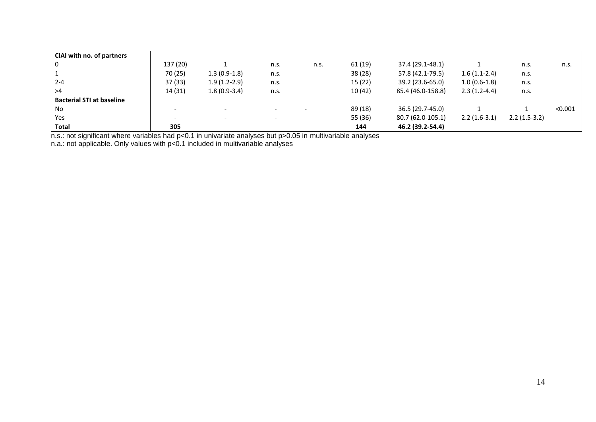| CIAI with no. of partners |          |                          |      |      |         |                   |                |                |         |
|---------------------------|----------|--------------------------|------|------|---------|-------------------|----------------|----------------|---------|
| $\overline{0}$            | 137 (20) |                          | n.s. | n.s. | 61 (19) | 37.4 (29.1-48.1)  |                | n.s.           | n.s.    |
| $^{\circ}$ 1              | 70 (25)  | $1.3(0.9-1.8)$           | n.s. |      | 38 (28) | 57.8 (42.1-79.5)  | $1.6(1.1-2.4)$ | n.s.           |         |
| $2 - 4$                   | 37(33)   | $1.9(1.2-2.9)$           | n.s. |      | 15 (22) | 39.2 (23.6-65.0)  | $1.0(0.6-1.8)$ | n.s.           |         |
| >4                        | 14 (31)  | $1.8(0.9-3.4)$           | n.s. |      | 10(42)  | 85.4 (46.0-158.8) | $2.3(1.2-4.4)$ | n.s.           |         |
| Bacterial STI at baseline |          |                          |      |      |         |                   |                |                |         |
| No.                       |          |                          | -    |      | 89 (18) | 36.5 (29.7-45.0)  |                |                | < 0.001 |
| Yes                       | -        | $\overline{\phantom{a}}$ |      |      | 55 (36) | 80.7 (62.0-105.1) | $2.2(1.6-3.1)$ | $2.2(1.5-3.2)$ |         |
| Total                     | 305      |                          |      |      | 144     | 46.2 (39.2-54.4)  |                |                |         |

n.s.: not significant where variables had p<0.1 in univariate analyses but p>0.05 in multivariable analyses

n.a.: not applicable. Only values with p<0.1 included in multivariable analyses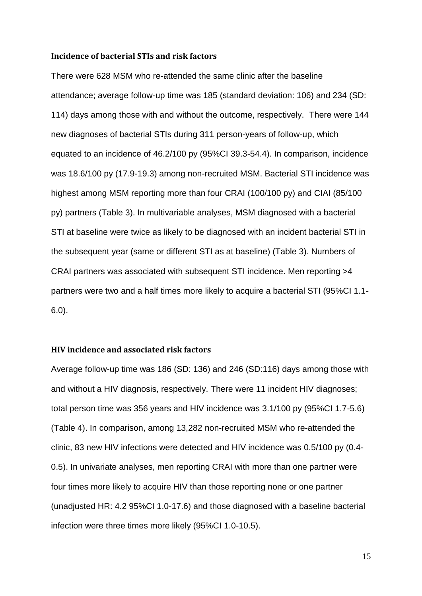#### **Incidence of bacterial STIs and risk factors**

There were 628 MSM who re-attended the same clinic after the baseline attendance; average follow-up time was 185 (standard deviation: 106) and 234 (SD: 114) days among those with and without the outcome, respectively. There were 144 new diagnoses of bacterial STIs during 311 person-years of follow-up, which equated to an incidence of 46.2/100 py (95%CI 39.3-54.4). In comparison, incidence was 18.6/100 py (17.9-19.3) among non-recruited MSM. Bacterial STI incidence was highest among MSM reporting more than four CRAI (100/100 py) and CIAI (85/100 py) partners (Table 3). In multivariable analyses, MSM diagnosed with a bacterial STI at baseline were twice as likely to be diagnosed with an incident bacterial STI in the subsequent year (same or different STI as at baseline) (Table 3). Numbers of CRAI partners was associated with subsequent STI incidence. Men reporting >4 partners were two and a half times more likely to acquire a bacterial STI (95%CI 1.1- 6.0).

#### **HIV incidence and associated risk factors**

Average follow-up time was 186 (SD: 136) and 246 (SD:116) days among those with and without a HIV diagnosis, respectively. There were 11 incident HIV diagnoses; total person time was 356 years and HIV incidence was 3.1/100 py (95%CI 1.7-5.6) (Table 4). In comparison, among 13,282 non-recruited MSM who re-attended the clinic, 83 new HIV infections were detected and HIV incidence was 0.5/100 py (0.4- 0.5). In univariate analyses, men reporting CRAI with more than one partner were four times more likely to acquire HIV than those reporting none or one partner (unadjusted HR: 4.2 95%CI 1.0-17.6) and those diagnosed with a baseline bacterial infection were three times more likely (95%CI 1.0-10.5).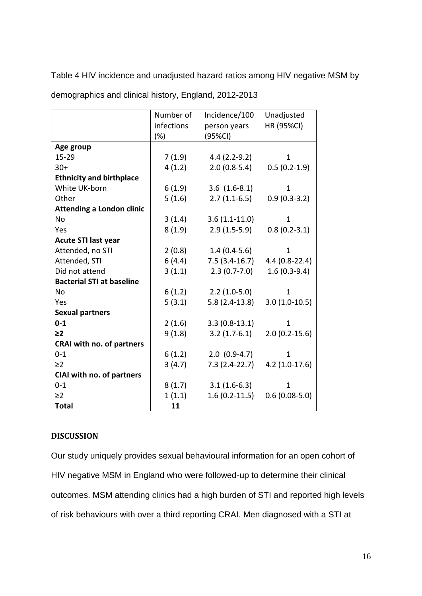Table 4 HIV incidence and unadjusted hazard ratios among HIV negative MSM by

|                                  | Number of  | Incidence/100     | Unadjusted        |
|----------------------------------|------------|-------------------|-------------------|
|                                  | infections | person years      | HR (95%CI)        |
|                                  | $(\%)$     | (95%CI)           |                   |
| Age group                        |            |                   |                   |
| 15-29                            | 7(1.9)     | $4.4(2.2-9.2)$    | $\mathbf{1}$      |
| $30+$                            | 4(1.2)     | $2.0(0.8-5.4)$    | $0.5(0.2-1.9)$    |
| <b>Ethnicity and birthplace</b>  |            |                   |                   |
| White UK-born                    | 6(1.9)     | $3.6$ $(1.6-8.1)$ | $\mathbf{1}$      |
| Other                            | 5(1.6)     | $2.7(1.1-6.5)$    | $0.9(0.3-3.2)$    |
| <b>Attending a London clinic</b> |            |                   |                   |
| No                               | 3(1.4)     | $3.6(1.1-11.0)$   | $\mathbf{1}$      |
| Yes                              | 8(1.9)     | $2.9(1.5-5.9)$    | $0.8(0.2-3.1)$    |
| <b>Acute STI last year</b>       |            |                   |                   |
| Attended, no STI                 | 2(0.8)     | $1.4(0.4-5.6)$    | 1                 |
| Attended, STI                    | 6(4.4)     | $7.5(3.4-16.7)$   | $4.4(0.8-22.4)$   |
| Did not attend                   | 3(1.1)     | $2.3(0.7-7.0)$    | $1.6(0.3-9.4)$    |
| <b>Bacterial STI at baseline</b> |            |                   |                   |
| No                               | 6(1.2)     | $2.2(1.0-5.0)$    | 1                 |
| Yes                              | 5(3.1)     | $5.8(2.4-13.8)$   | $3.0(1.0-10.5)$   |
| <b>Sexual partners</b>           |            |                   |                   |
| $0 - 1$                          | 2(1.6)     | $3.3(0.8-13.1)$   | 1                 |
| $\geq$ 2                         | 9(1.8)     | $3.2(1.7-6.1)$    | $2.0(0.2 - 15.6)$ |
| CRAI with no. of partners        |            |                   |                   |
| $0 - 1$                          | 6(1.2)     | $2.0(0.9-4.7)$    | $\mathbf{1}$      |
| $\geq$ 2                         | 3(4.7)     | $7.3(2.4-22.7)$   | $4.2(1.0-17.6)$   |
| CIAI with no. of partners        |            |                   |                   |
| $0 - 1$                          | 8(1.7)     | $3.1(1.6-6.3)$    | 1                 |
| $\geq$ 2                         | 1(1.1)     | $1.6(0.2-11.5)$   | $0.6(0.08-5.0)$   |
| <b>Total</b>                     | 11         |                   |                   |

demographics and clinical history, England, 2012-2013

# **DISCUSSION**

Our study uniquely provides sexual behavioural information for an open cohort of HIV negative MSM in England who were followed-up to determine their clinical outcomes. MSM attending clinics had a high burden of STI and reported high levels of risk behaviours with over a third reporting CRAI. Men diagnosed with a STI at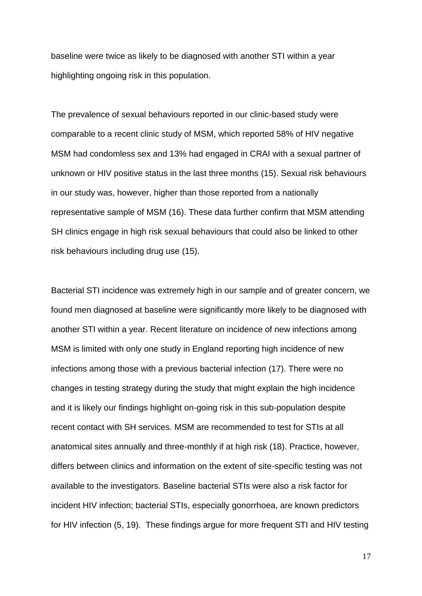baseline were twice as likely to be diagnosed with another STI within a year highlighting ongoing risk in this population.

The prevalence of sexual behaviours reported in our clinic-based study were comparable to a recent clinic study of MSM, which reported 58% of HIV negative MSM had condomless sex and 13% had engaged in CRAI with a sexual partner of unknown or HIV positive status in the last three months (15). Sexual risk behaviours in our study was, however, higher than those reported from a nationally representative sample of MSM (16). These data further confirm that MSM attending SH clinics engage in high risk sexual behaviours that could also be linked to other risk behaviours including drug use (15).

Bacterial STI incidence was extremely high in our sample and of greater concern, we found men diagnosed at baseline were significantly more likely to be diagnosed with another STI within a year. Recent literature on incidence of new infections among MSM is limited with only one study in England reporting high incidence of new infections among those with a previous bacterial infection (17). There were no changes in testing strategy during the study that might explain the high incidence and it is likely our findings highlight on-going risk in this sub-population despite recent contact with SH services. MSM are recommended to test for STIs at all anatomical sites annually and three-monthly if at high risk (18). Practice, however, differs between clinics and information on the extent of site-specific testing was not available to the investigators. Baseline bacterial STIs were also a risk factor for incident HIV infection; bacterial STIs, especially gonorrhoea, are known predictors for HIV infection (5, 19). These findings argue for more frequent STI and HIV testing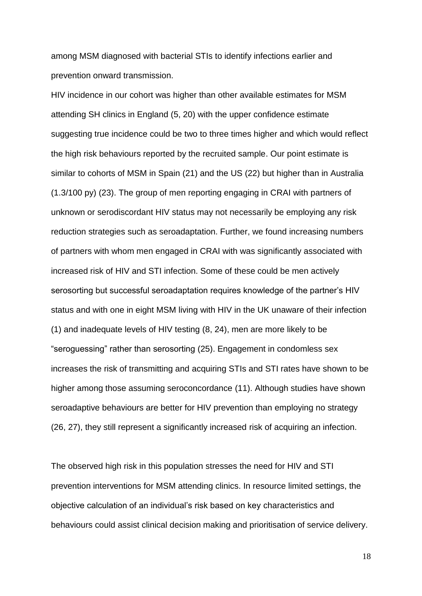among MSM diagnosed with bacterial STIs to identify infections earlier and prevention onward transmission.

HIV incidence in our cohort was higher than other available estimates for MSM attending SH clinics in England (5, 20) with the upper confidence estimate suggesting true incidence could be two to three times higher and which would reflect the high risk behaviours reported by the recruited sample. Our point estimate is similar to cohorts of MSM in Spain (21) and the US (22) but higher than in Australia (1.3/100 py) (23). The group of men reporting engaging in CRAI with partners of unknown or serodiscordant HIV status may not necessarily be employing any risk reduction strategies such as seroadaptation. Further, we found increasing numbers of partners with whom men engaged in CRAI with was significantly associated with increased risk of HIV and STI infection. Some of these could be men actively serosorting but successful seroadaptation requires knowledge of the partner's HIV status and with one in eight MSM living with HIV in the UK unaware of their infection (1) and inadequate levels of HIV testing (8, 24), men are more likely to be "seroguessing" rather than serosorting (25). Engagement in condomless sex increases the risk of transmitting and acquiring STIs and STI rates have shown to be higher among those assuming seroconcordance (11). Although studies have shown seroadaptive behaviours are better for HIV prevention than employing no strategy (26, 27), they still represent a significantly increased risk of acquiring an infection.

The observed high risk in this population stresses the need for HIV and STI prevention interventions for MSM attending clinics. In resource limited settings, the objective calculation of an individual's risk based on key characteristics and behaviours could assist clinical decision making and prioritisation of service delivery.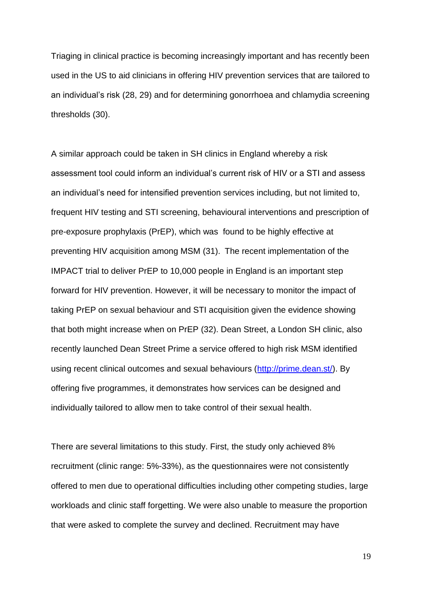Triaging in clinical practice is becoming increasingly important and has recently been used in the US to aid clinicians in offering HIV prevention services that are tailored to an individual's risk (28, 29) and for determining gonorrhoea and chlamydia screening thresholds (30).

A similar approach could be taken in SH clinics in England whereby a risk assessment tool could inform an individual's current risk of HIV or a STI and assess an individual's need for intensified prevention services including, but not limited to, frequent HIV testing and STI screening, behavioural interventions and prescription of pre-exposure prophylaxis (PrEP), which was found to be highly effective at preventing HIV acquisition among MSM (31). The recent implementation of the IMPACT trial to deliver PrEP to 10,000 people in England is an important step forward for HIV prevention. However, it will be necessary to monitor the impact of taking PrEP on sexual behaviour and STI acquisition given the evidence showing that both might increase when on PrEP (32). Dean Street, a London SH clinic, also recently launched Dean Street Prime a service offered to high risk MSM identified using recent clinical outcomes and sexual behaviours [\(http://prime.dean.st/\)](http://prime.dean.st/). By offering five programmes, it demonstrates how services can be designed and individually tailored to allow men to take control of their sexual health.

There are several limitations to this study. First, the study only achieved 8% recruitment (clinic range: 5%-33%), as the questionnaires were not consistently offered to men due to operational difficulties including other competing studies, large workloads and clinic staff forgetting. We were also unable to measure the proportion that were asked to complete the survey and declined. Recruitment may have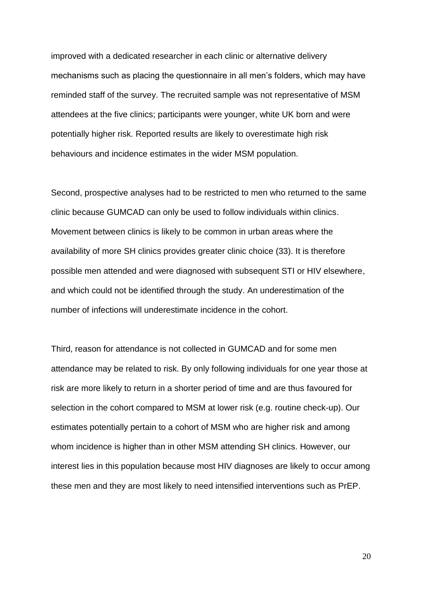improved with a dedicated researcher in each clinic or alternative delivery mechanisms such as placing the questionnaire in all men's folders, which may have reminded staff of the survey. The recruited sample was not representative of MSM attendees at the five clinics; participants were younger, white UK born and were potentially higher risk. Reported results are likely to overestimate high risk behaviours and incidence estimates in the wider MSM population.

Second, prospective analyses had to be restricted to men who returned to the same clinic because GUMCAD can only be used to follow individuals within clinics. Movement between clinics is likely to be common in urban areas where the availability of more SH clinics provides greater clinic choice (33). It is therefore possible men attended and were diagnosed with subsequent STI or HIV elsewhere, and which could not be identified through the study. An underestimation of the number of infections will underestimate incidence in the cohort.

Third, reason for attendance is not collected in GUMCAD and for some men attendance may be related to risk. By only following individuals for one year those at risk are more likely to return in a shorter period of time and are thus favoured for selection in the cohort compared to MSM at lower risk (e.g. routine check-up). Our estimates potentially pertain to a cohort of MSM who are higher risk and among whom incidence is higher than in other MSM attending SH clinics. However, our interest lies in this population because most HIV diagnoses are likely to occur among these men and they are most likely to need intensified interventions such as PrEP.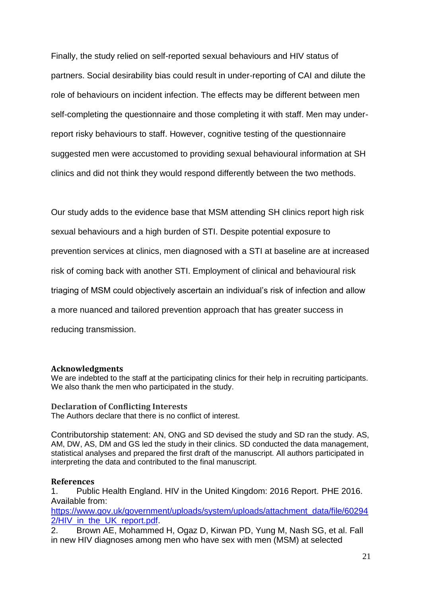Finally, the study relied on self-reported sexual behaviours and HIV status of partners. Social desirability bias could result in under-reporting of CAI and dilute the role of behaviours on incident infection. The effects may be different between men self-completing the questionnaire and those completing it with staff. Men may underreport risky behaviours to staff. However, cognitive testing of the questionnaire suggested men were accustomed to providing sexual behavioural information at SH clinics and did not think they would respond differently between the two methods.

Our study adds to the evidence base that MSM attending SH clinics report high risk sexual behaviours and a high burden of STI. Despite potential exposure to prevention services at clinics, men diagnosed with a STI at baseline are at increased risk of coming back with another STI. Employment of clinical and behavioural risk triaging of MSM could objectively ascertain an individual's risk of infection and allow a more nuanced and tailored prevention approach that has greater success in reducing transmission.

#### **Acknowledgments**

We are indebted to the staff at the participating clinics for their help in recruiting participants. We also thank the men who participated in the study.

#### **Declaration of Conflicting Interests**

The Authors declare that there is no conflict of interest.

Contributorship statement: AN, ONG and SD devised the study and SD ran the study. AS, AM, DW, AS, DM and GS led the study in their clinics. SD conducted the data management, statistical analyses and prepared the first draft of the manuscript. All authors participated in interpreting the data and contributed to the final manuscript.

#### **References**

1. Public Health England. HIV in the United Kingdom: 2016 Report. PHE 2016. Available from:

[https://www.gov.uk/government/uploads/system/uploads/attachment\\_data/file/60294](https://www.gov.uk/government/uploads/system/uploads/attachment_data/file/602942/HIV_in_the_UK_report.pdf) 2/HIV in the UK report.pdf.

2. Brown AE, Mohammed H, Ogaz D, Kirwan PD, Yung M, Nash SG, et al. Fall in new HIV diagnoses among men who have sex with men (MSM) at selected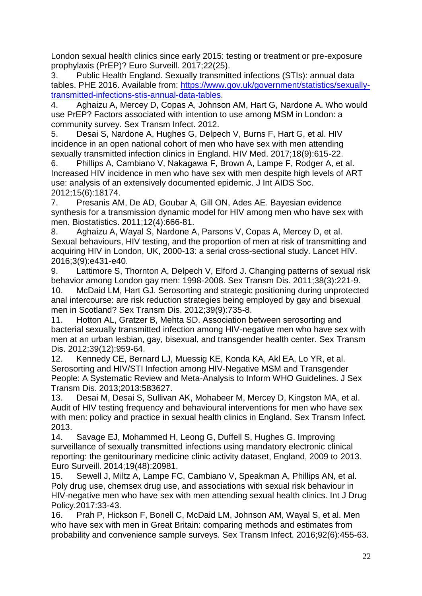London sexual health clinics since early 2015: testing or treatment or pre-exposure prophylaxis (PrEP)? Euro Surveill. 2017;22(25).

3. Public Health England. Sexually transmitted infections (STIs): annual data tables. PHE 2016. Available from: [https://www.gov.uk/government/statistics/sexually](https://www.gov.uk/government/statistics/sexually-transmitted-infections-stis-annual-data-tables)[transmitted-infections-stis-annual-data-tables.](https://www.gov.uk/government/statistics/sexually-transmitted-infections-stis-annual-data-tables)

4. Aghaizu A, Mercey D, Copas A, Johnson AM, Hart G, Nardone A. Who would use PrEP? Factors associated with intention to use among MSM in London: a community survey. Sex Transm Infect. 2012.

5. Desai S, Nardone A, Hughes G, Delpech V, Burns F, Hart G, et al. HIV incidence in an open national cohort of men who have sex with men attending sexually transmitted infection clinics in England. HIV Med. 2017;18(9):615-22.

6. Phillips A, Cambiano V, Nakagawa F, Brown A, Lampe F, Rodger A, et al. Increased HIV incidence in men who have sex with men despite high levels of ART use: analysis of an extensively documented epidemic. J Int AIDS Soc. 2012;15(6):18174.

7. Presanis AM, De AD, Goubar A, Gill ON, Ades AE. Bayesian evidence synthesis for a transmission dynamic model for HIV among men who have sex with men. Biostatistics. 2011;12(4):666-81.

8. Aghaizu A, Wayal S, Nardone A, Parsons V, Copas A, Mercey D, et al. Sexual behaviours, HIV testing, and the proportion of men at risk of transmitting and acquiring HIV in London, UK, 2000-13: a serial cross-sectional study. Lancet HIV. 2016;3(9):e431-e40.

9. Lattimore S, Thornton A, Delpech V, Elford J. Changing patterns of sexual risk behavior among London gay men: 1998-2008. Sex Transm Dis. 2011;38(3):221-9.

10. McDaid LM, Hart GJ. Serosorting and strategic positioning during unprotected anal intercourse: are risk reduction strategies being employed by gay and bisexual men in Scotland? Sex Transm Dis. 2012;39(9):735-8.

11. Hotton AL, Gratzer B, Mehta SD. Association between serosorting and bacterial sexually transmitted infection among HIV-negative men who have sex with men at an urban lesbian, gay, bisexual, and transgender health center. Sex Transm Dis. 2012;39(12):959-64.

12. Kennedy CE, Bernard LJ, Muessig KE, Konda KA, Akl EA, Lo YR, et al. Serosorting and HIV/STI Infection among HIV-Negative MSM and Transgender People: A Systematic Review and Meta-Analysis to Inform WHO Guidelines. J Sex Transm Dis. 2013;2013:583627.

13. Desai M, Desai S, Sullivan AK, Mohabeer M, Mercey D, Kingston MA, et al. Audit of HIV testing frequency and behavioural interventions for men who have sex with men: policy and practice in sexual health clinics in England. Sex Transm Infect. 2013.

14. Savage EJ, Mohammed H, Leong G, Duffell S, Hughes G. Improving surveillance of sexually transmitted infections using mandatory electronic clinical reporting: the genitourinary medicine clinic activity dataset, England, 2009 to 2013. Euro Surveill. 2014;19(48):20981.

15. Sewell J, Miltz A, Lampe FC, Cambiano V, Speakman A, Phillips AN, et al. Poly drug use, chemsex drug use, and associations with sexual risk behaviour in HIV-negative men who have sex with men attending sexual health clinics. Int J Drug Policy.2017:33-43.

16. Prah P, Hickson F, Bonell C, McDaid LM, Johnson AM, Wayal S, et al. Men who have sex with men in Great Britain: comparing methods and estimates from probability and convenience sample surveys. Sex Transm Infect. 2016;92(6):455-63.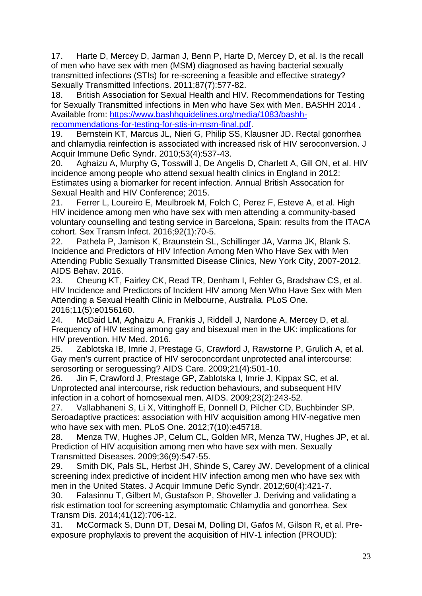17. Harte D, Mercey D, Jarman J, Benn P, Harte D, Mercey D, et al. Is the recall of men who have sex with men (MSM) diagnosed as having bacterial sexually transmitted infections (STIs) for re-screening a feasible and effective strategy? Sexually Transmitted Infections. 2011;87(7):577-82.

18. British Association for Sexual Health and HIV. Recommendations for Testing for Sexually Transmitted infections in Men who have Sex with Men. BASHH 2014 . Available from: [https://www.bashhguidelines.org/media/1083/bashh](https://www.bashhguidelines.org/media/1083/bashh-recommendations-for-testing-for-stis-in-msm-final.pdf)[recommendations-for-testing-for-stis-in-msm-final.pdf.](https://www.bashhguidelines.org/media/1083/bashh-recommendations-for-testing-for-stis-in-msm-final.pdf)

19. Bernstein KT, Marcus JL, Nieri G, Philip SS, Klausner JD. Rectal gonorrhea and chlamydia reinfection is associated with increased risk of HIV seroconversion. J Acquir Immune Defic Syndr. 2010;53(4):537-43.

20. Aghaizu A, Murphy G, Tosswill J, De Angelis D, Charlett A, Gill ON, et al. HIV incidence among people who attend sexual health clinics in England in 2012: Estimates using a biomarker for recent infection. Annual British Assocation for Sexual Health and HIV Conference; 2015.

21. Ferrer L, Loureiro E, Meulbroek M, Folch C, Perez F, Esteve A, et al. High HIV incidence among men who have sex with men attending a community-based voluntary counselling and testing service in Barcelona, Spain: results from the ITACA cohort. Sex Transm Infect. 2016;92(1):70-5.

22. Pathela P, Jamison K, Braunstein SL, Schillinger JA, Varma JK, Blank S. Incidence and Predictors of HIV Infection Among Men Who Have Sex with Men Attending Public Sexually Transmitted Disease Clinics, New York City, 2007-2012. AIDS Behav. 2016.

23. Cheung KT, Fairley CK, Read TR, Denham I, Fehler G, Bradshaw CS, et al. HIV Incidence and Predictors of Incident HIV among Men Who Have Sex with Men Attending a Sexual Health Clinic in Melbourne, Australia. PLoS One. 2016;11(5):e0156160.

24. McDaid LM, Aghaizu A, Frankis J, Riddell J, Nardone A, Mercey D, et al. Frequency of HIV testing among gay and bisexual men in the UK: implications for HIV prevention. HIV Med. 2016.

25. Zablotska IB, Imrie J, Prestage G, Crawford J, Rawstorne P, Grulich A, et al. Gay men's current practice of HIV seroconcordant unprotected anal intercourse: serosorting or seroguessing? AIDS Care. 2009;21(4):501-10.

26. Jin F, Crawford J, Prestage GP, Zablotska I, Imrie J, Kippax SC, et al. Unprotected anal intercourse, risk reduction behaviours, and subsequent HIV infection in a cohort of homosexual men. AIDS. 2009;23(2):243-52.

27. Vallabhaneni S, Li X, Vittinghoff E, Donnell D, Pilcher CD, Buchbinder SP. Seroadaptive practices: association with HIV acquisition among HIV-negative men who have sex with men. PLoS One. 2012;7(10):e45718.

28. Menza TW, Hughes JP, Celum CL, Golden MR, Menza TW, Hughes JP, et al. Prediction of HIV acquisition among men who have sex with men. Sexually Transmitted Diseases. 2009;36(9):547-55.

29. Smith DK, Pals SL, Herbst JH, Shinde S, Carey JW. Development of a clinical screening index predictive of incident HIV infection among men who have sex with men in the United States. J Acquir Immune Defic Syndr. 2012;60(4):421-7.

30. Falasinnu T, Gilbert M, Gustafson P, Shoveller J. Deriving and validating a risk estimation tool for screening asymptomatic Chlamydia and gonorrhea. Sex Transm Dis. 2014;41(12):706-12.

31. McCormack S, Dunn DT, Desai M, Dolling DI, Gafos M, Gilson R, et al. Preexposure prophylaxis to prevent the acquisition of HIV-1 infection (PROUD):